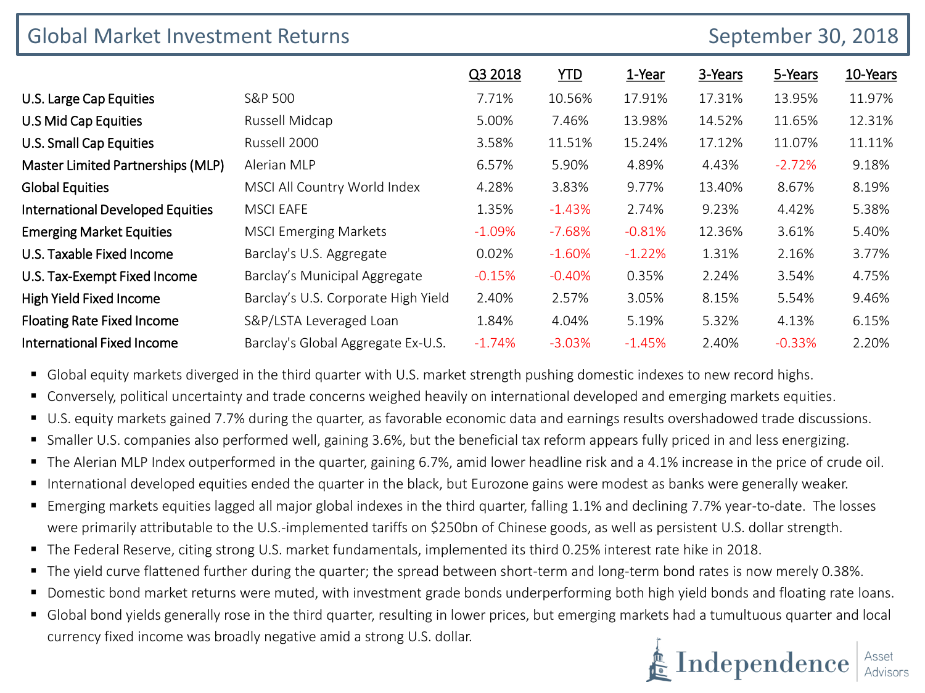| <b>Global Market Investment Returns</b> |                                     | September 30, 2018 |            |          |         |          |          |
|-----------------------------------------|-------------------------------------|--------------------|------------|----------|---------|----------|----------|
|                                         |                                     | Q3 2018            | <b>YTD</b> | 1-Year   | 3-Years | 5-Years  | 10-Years |
| U.S. Large Cap Equities                 | S&P 500                             | 7.71%              | 10.56%     | 17.91%   | 17.31%  | 13.95%   | 11.97%   |
| U.S Mid Cap Equities                    | Russell Midcap                      | 5.00%              | 7.46%      | 13.98%   | 14.52%  | 11.65%   | 12.31%   |
| <b>U.S. Small Cap Equities</b>          | Russell 2000                        | 3.58%              | 11.51%     | 15.24%   | 17.12%  | 11.07%   | 11.11%   |
| Master Limited Partnerships (MLP)       | Alerian MLP                         | 6.57%              | 5.90%      | 4.89%    | 4.43%   | $-2.72%$ | 9.18%    |
| <b>Global Equities</b>                  | MSCI All Country World Index        | 4.28%              | 3.83%      | 9.77%    | 13.40%  | 8.67%    | 8.19%    |
| <b>International Developed Equities</b> | <b>MSCI EAFE</b>                    | 1.35%              | $-1.43%$   | 2.74%    | 9.23%   | 4.42%    | 5.38%    |
| <b>Emerging Market Equities</b>         | <b>MSCI Emerging Markets</b>        | $-1.09%$           | $-7.68%$   | $-0.81%$ | 12.36%  | 3.61%    | 5.40%    |
| U.S. Taxable Fixed Income               | Barclay's U.S. Aggregate            | 0.02%              | $-1.60%$   | $-1.22%$ | 1.31%   | 2.16%    | 3.77%    |
| U.S. Tax-Exempt Fixed Income            | Barclay's Municipal Aggregate       | $-0.15%$           | $-0.40%$   | 0.35%    | 2.24%   | 3.54%    | 4.75%    |
| <b>High Yield Fixed Income</b>          | Barclay's U.S. Corporate High Yield | 2.40%              | 2.57%      | 3.05%    | 8.15%   | 5.54%    | 9.46%    |
| <b>Floating Rate Fixed Income</b>       | S&P/LSTA Leveraged Loan             | 1.84%              | 4.04%      | 5.19%    | 5.32%   | 4.13%    | 6.15%    |
| <b>International Fixed Income</b>       | Barclay's Global Aggregate Ex-U.S.  | $-1.74%$           | $-3.03%$   | $-1.45%$ | 2.40%   | $-0.33%$ | 2.20%    |

Global equity markets diverged in the third quarter with U.S. market strength pushing domestic indexes to new record highs.

- Conversely, political uncertainty and trade concerns weighed heavily on international developed and emerging markets equities.
- U.S. equity markets gained 7.7% during the quarter, as favorable economic data and earnings results overshadowed trade discussions.
- Smaller U.S. companies also performed well, gaining 3.6%, but the beneficial tax reform appears fully priced in and less energizing.
- The Alerian MLP Index outperformed in the quarter, gaining 6.7%, amid lower headline risk and a 4.1% increase in the price of crude oil.
- International developed equities ended the quarter in the black, but Eurozone gains were modest as banks were generally weaker.
- Emerging markets equities lagged all major global indexes in the third quarter, falling 1.1% and declining 7.7% year-to-date. The losses were primarily attributable to the U.S.-implemented tariffs on \$250bn of Chinese goods, as well as persistent U.S. dollar strength.
- The Federal Reserve, citing strong U.S. market fundamentals, implemented its third 0.25% interest rate hike in 2018.
- The yield curve flattened further during the quarter; the spread between short-term and long-term bond rates is now merely 0.38%.
- Domestic bond market returns were muted, with investment grade bonds underperforming both high yield bonds and floating rate loans.
- Global bond yields generally rose in the third quarter, resulting in lower prices, but emerging markets had a tumultuous quarter and local currency fixed income was broadly negative amid a strong U.S. dollar.